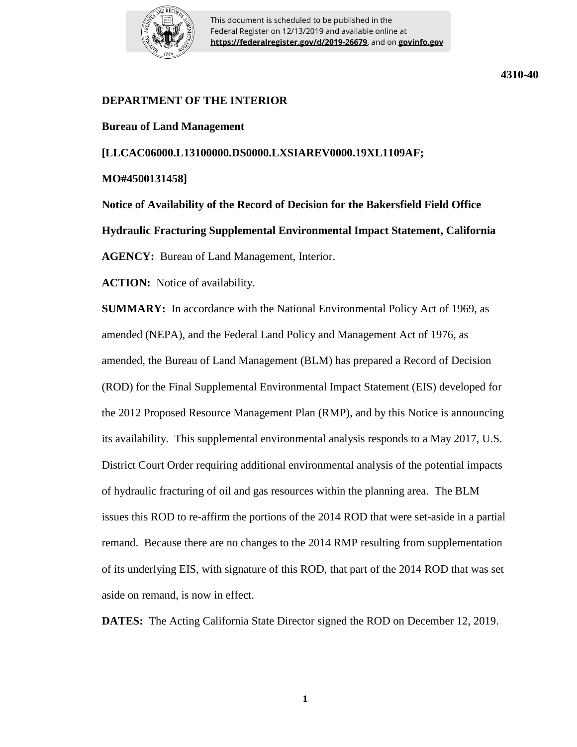

This document is scheduled to be published in the Federal Register on 12/13/2019 and available online at **https://federalregister.gov/d/2019-26679**, and on **govinfo.gov**

## **DEPARTMENT OF THE INTERIOR**

**Bureau of Land Management**

**[LLCAC06000.L13100000.DS0000.LXSIAREV0000.19XL1109AF;** 

**MO#4500131458]**

**Notice of Availability of the Record of Decision for the Bakersfield Field Office Hydraulic Fracturing Supplemental Environmental Impact Statement, California AGENCY:** Bureau of Land Management, Interior.

**ACTION:** Notice of availability.

**SUMMARY:** In accordance with the National Environmental Policy Act of 1969, as amended (NEPA), and the Federal Land Policy and Management Act of 1976, as amended, the Bureau of Land Management (BLM) has prepared a Record of Decision (ROD) for the Final Supplemental Environmental Impact Statement (EIS) developed for the 2012 Proposed Resource Management Plan (RMP), and by this Notice is announcing its availability. This supplemental environmental analysis responds to a May 2017, U.S. District Court Order requiring additional environmental analysis of the potential impacts of hydraulic fracturing of oil and gas resources within the planning area. The BLM issues this ROD to re-affirm the portions of the 2014 ROD that were set-aside in a partial remand. Because there are no changes to the 2014 RMP resulting from supplementation of its underlying EIS, with signature of this ROD, that part of the 2014 ROD that was set aside on remand, is now in effect.

**DATES:** The Acting California State Director signed the ROD on December 12, 2019.

**4310-40**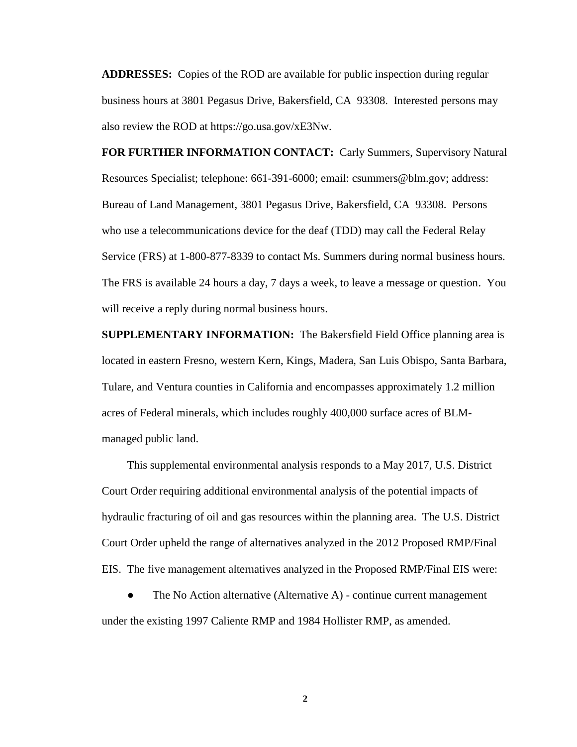**ADDRESSES:** Copies of the ROD are available for public inspection during regular business hours at 3801 Pegasus Drive, Bakersfield, CA 93308. Interested persons may also review the ROD at https://go.usa.gov/xE3Nw.

**FOR FURTHER INFORMATION CONTACT:** Carly Summers, Supervisory Natural Resources Specialist; telephone: 661-391-6000; email: csummers@blm.gov; address: Bureau of Land Management, 3801 Pegasus Drive, Bakersfield, CA 93308. Persons who use a telecommunications device for the deaf (TDD) may call the Federal Relay Service (FRS) at 1-800-877-8339 to contact Ms. Summers during normal business hours. The FRS is available 24 hours a day, 7 days a week, to leave a message or question. You will receive a reply during normal business hours.

**SUPPLEMENTARY INFORMATION:** The Bakersfield Field Office planning area is located in eastern Fresno, western Kern, Kings, Madera, San Luis Obispo, Santa Barbara, Tulare, and Ventura counties in California and encompasses approximately 1.2 million acres of Federal minerals, which includes roughly 400,000 surface acres of BLMmanaged public land.

This supplemental environmental analysis responds to a May 2017, U.S. District Court Order requiring additional environmental analysis of the potential impacts of hydraulic fracturing of oil and gas resources within the planning area. The U.S. District Court Order upheld the range of alternatives analyzed in the 2012 Proposed RMP/Final EIS. The five management alternatives analyzed in the Proposed RMP/Final EIS were:

The No Action alternative (Alternative  $A$ ) - continue current management under the existing 1997 Caliente RMP and 1984 Hollister RMP, as amended.

**2**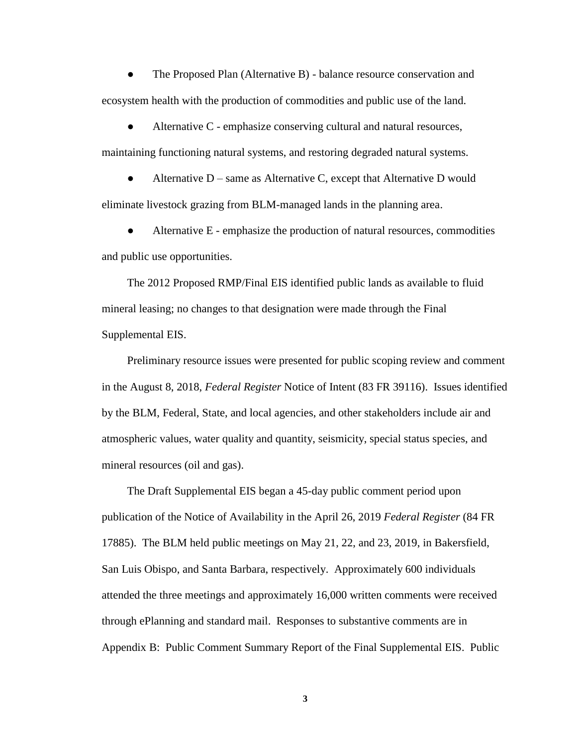The Proposed Plan (Alternative B) - balance resource conservation and ecosystem health with the production of commodities and public use of the land.

Alternative  $C$  - emphasize conserving cultural and natural resources, maintaining functioning natural systems, and restoring degraded natural systems.

Alternative  $D$  – same as Alternative C, except that Alternative D would eliminate livestock grazing from BLM-managed lands in the planning area.

Alternative E - emphasize the production of natural resources, commodities and public use opportunities.

The 2012 Proposed RMP/Final EIS identified public lands as available to fluid mineral leasing; no changes to that designation were made through the Final Supplemental EIS.

Preliminary resource issues were presented for public scoping review and comment in the August 8, 2018, *Federal Register* Notice of Intent (83 FR 39116). Issues identified by the BLM, Federal, State, and local agencies, and other stakeholders include air and atmospheric values, water quality and quantity, seismicity, special status species, and mineral resources (oil and gas).

The Draft Supplemental EIS began a 45-day public comment period upon publication of the Notice of Availability in the April 26, 2019 *Federal Register* (84 FR 17885). The BLM held public meetings on May 21, 22, and 23, 2019, in Bakersfield, San Luis Obispo, and Santa Barbara, respectively. Approximately 600 individuals attended the three meetings and approximately 16,000 written comments were received through ePlanning and standard mail. Responses to substantive comments are in Appendix B: Public Comment Summary Report of the Final Supplemental EIS. Public

**3**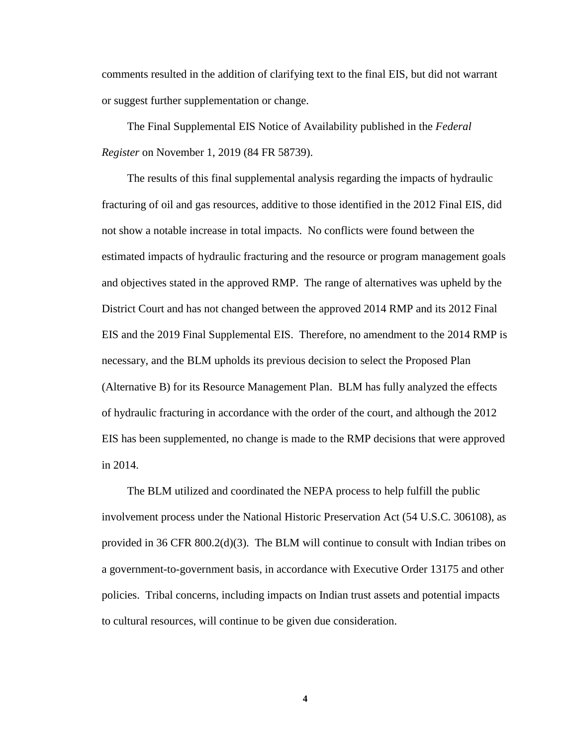comments resulted in the addition of clarifying text to the final EIS, but did not warrant or suggest further supplementation or change.

The Final Supplemental EIS Notice of Availability published in the *Federal Register* on November 1, 2019 (84 FR 58739).

The results of this final supplemental analysis regarding the impacts of hydraulic fracturing of oil and gas resources, additive to those identified in the 2012 Final EIS, did not show a notable increase in total impacts. No conflicts were found between the estimated impacts of hydraulic fracturing and the resource or program management goals and objectives stated in the approved RMP. The range of alternatives was upheld by the District Court and has not changed between the approved 2014 RMP and its 2012 Final EIS and the 2019 Final Supplemental EIS. Therefore, no amendment to the 2014 RMP is necessary, and the BLM upholds its previous decision to select the Proposed Plan (Alternative B) for its Resource Management Plan. BLM has fully analyzed the effects of hydraulic fracturing in accordance with the order of the court, and although the 2012 EIS has been supplemented, no change is made to the RMP decisions that were approved in 2014.

The BLM utilized and coordinated the NEPA process to help fulfill the public involvement process under the National Historic Preservation Act (54 U.S.C. 306108), as provided in 36 CFR 800.2(d)(3). The BLM will continue to consult with Indian tribes on a government-to-government basis, in accordance with Executive Order 13175 and other policies. Tribal concerns, including impacts on Indian trust assets and potential impacts to cultural resources, will continue to be given due consideration.

**4**